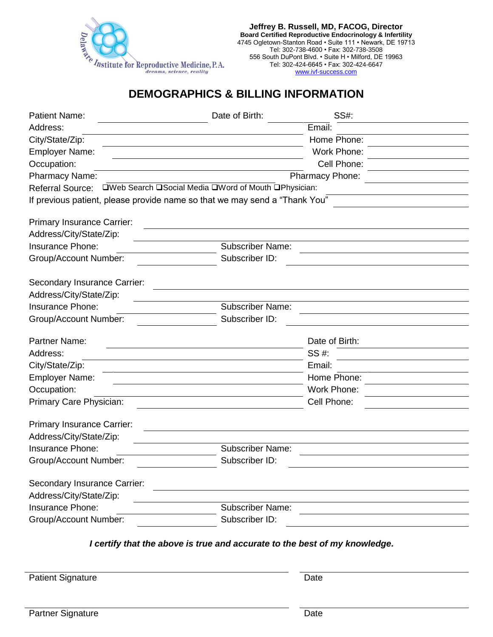

**Jeffrey B. Russell, MD, FACOG, Director Board Certified Reproductive Endocrinology & Infertility** 4745 Ogletown-Stanton Road • Suite 111 • Newark, DE 19713 Tel: 302-738-4600 • Fax: 302-738-3508 556 South DuPont Blvd. • Suite H • Milford, DE 19963 Tel: 302-424-6645 • Fax: 302-424-6647 <www.ivf-success.com>

## **DEMOGRAPHICS & BILLING INFORMATION**

| <b>Patient Name:</b>              | Date of Birth:                                                             | SS#:            |  |
|-----------------------------------|----------------------------------------------------------------------------|-----------------|--|
| Address:                          |                                                                            | Email:          |  |
| City/State/Zip:                   |                                                                            | Home Phone:     |  |
| <b>Employer Name:</b>             |                                                                            | Work Phone:     |  |
| Occupation:                       |                                                                            | Cell Phone:     |  |
| Pharmacy Name:                    |                                                                            | Pharmacy Phone: |  |
| <b>Referral Source:</b>           | □Web Search □Social Media □Word of Mouth □Physician:                       |                 |  |
|                                   | If previous patient, please provide name so that we may send a "Thank You" |                 |  |
| <b>Primary Insurance Carrier:</b> |                                                                            |                 |  |
| Address/City/State/Zip:           |                                                                            |                 |  |
| Insurance Phone:                  | <b>Subscriber Name:</b>                                                    |                 |  |
| Group/Account Number:             | Subscriber ID:                                                             |                 |  |
| Secondary Insurance Carrier:      |                                                                            |                 |  |
| Address/City/State/Zip:           |                                                                            |                 |  |
| Insurance Phone:                  | <b>Subscriber Name:</b>                                                    |                 |  |
| <b>Group/Account Number:</b>      | Subscriber ID:                                                             |                 |  |
| <b>Partner Name:</b>              |                                                                            | Date of Birth:  |  |
| Address:                          |                                                                            | SS #:           |  |
| City/State/Zip:                   |                                                                            | Email:          |  |
| <b>Employer Name:</b>             |                                                                            | Home Phone:     |  |
| Occupation:                       |                                                                            | Work Phone:     |  |
| Primary Care Physician:           |                                                                            | Cell Phone:     |  |
| <b>Primary Insurance Carrier:</b> |                                                                            |                 |  |
| Address/City/State/Zip:           |                                                                            |                 |  |
| Insurance Phone:                  | <b>Subscriber Name:</b>                                                    |                 |  |
| Group/Account Number:             | Subscriber ID:                                                             |                 |  |
| Secondary Insurance Carrier:      |                                                                            |                 |  |
| Address/City/State/Zip:           |                                                                            |                 |  |
| Insurance Phone:                  | <b>Subscriber Name:</b>                                                    |                 |  |
| Group/Account Number:             | Subscriber ID:                                                             |                 |  |
|                                   |                                                                            |                 |  |

*I certify that the above is true and accurate to the best of my knowledge.*

Patient Signature Date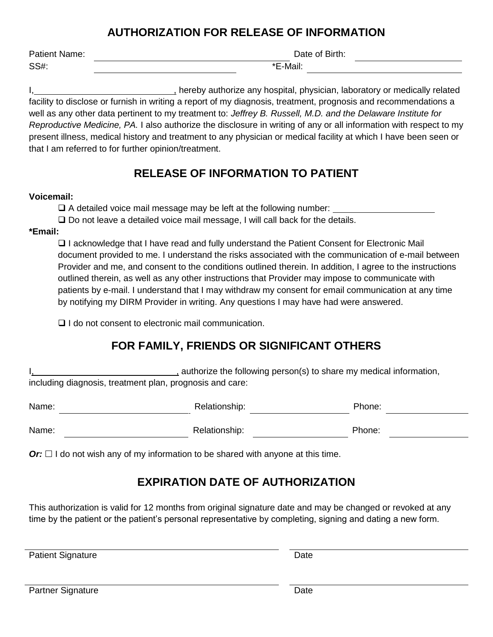### **AUTHORIZATION FOR RELEASE OF INFORMATION**

| Patient Name: |  |
|---------------|--|
| SS#:          |  |

Date of Birth:

 $E-Mail:$ 

I, hereby authorize any hospital, physician, laboratory or medically related facility to disclose or furnish in writing a report of my diagnosis, treatment, prognosis and recommendations a well as any other data pertinent to my treatment to: *Jeffrey B. Russell, M.D. and the Delaware Institute for Reproductive Medicine, PA.* I also authorize the disclosure in writing of any or all information with respect to my present illness, medical history and treatment to any physician or medical facility at which I have been seen or that I am referred to for further opinion/treatment.

# **RELEASE OF INFORMATION TO PATIENT**

#### **Voicemail:**

❑ A detailed voice mail message may be left at the following number:

❑ Do not leave a detailed voice mail message, I will call back for the details.

### **\*Email:**

❑ I acknowledge that I have read and fully understand the Patient Consent for Electronic Mail document provided to me. I understand the risks associated with the communication of e-mail between Provider and me, and consent to the conditions outlined therein. In addition, I agree to the instructions outlined therein, as well as any other instructions that Provider may impose to communicate with patients by e-mail. I understand that I may withdraw my consent for email communication at any time by notifying my DIRM Provider in writing. Any questions I may have had were answered.

❑ I do not consent to electronic mail communication.

# **FOR FAMILY, FRIENDS OR SIGNIFICANT OTHERS**

I, authorize the following person(s) to share my medical information, including diagnosis, treatment plan, prognosis and care:

| Name: | Relationship: | Phone: |
|-------|---------------|--------|
| Name: | Relationship: | Phone: |

 $Or: \Box$  I do not wish any of my information to be shared with anyone at this time.

# **EXPIRATION DATE OF AUTHORIZATION**

This authorization is valid for 12 months from original signature date and may be changed or revoked at any time by the patient or the patient's personal representative by completing, signing and dating a new form.

Patient Signature Date

| <b>Partner Signature</b> | Date |
|--------------------------|------|
|--------------------------|------|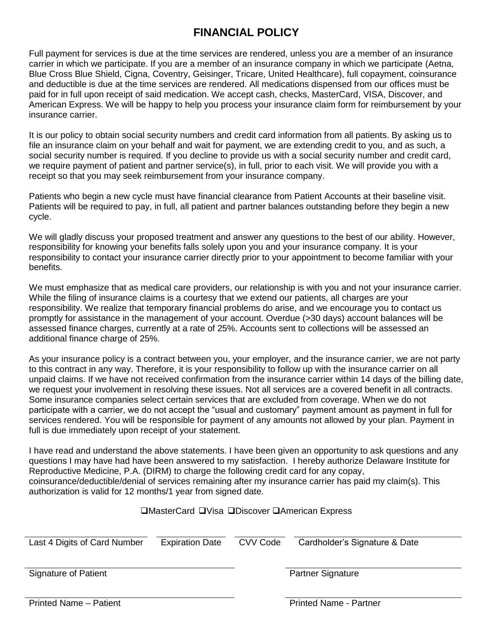## **FINANCIAL POLICY**

Full payment for services is due at the time services are rendered, unless you are a member of an insurance carrier in which we participate. If you are a member of an insurance company in which we participate (Aetna, Blue Cross Blue Shield, Cigna, Coventry, Geisinger, Tricare, United Healthcare), full copayment, coinsurance and deductible is due at the time services are rendered. All medications dispensed from our offices must be paid for in full upon receipt of said medication. We accept cash, checks, MasterCard, VISA, Discover, and American Express. We will be happy to help you process your insurance claim form for reimbursement by your insurance carrier.

It is our policy to obtain social security numbers and credit card information from all patients. By asking us to file an insurance claim on your behalf and wait for payment, we are extending credit to you, and as such, a social security number is required. If you decline to provide us with a social security number and credit card, we require payment of patient and partner service(s), in full, prior to each visit. We will provide you with a receipt so that you may seek reimbursement from your insurance company.

Patients who begin a new cycle must have financial clearance from Patient Accounts at their baseline visit. Patients will be required to pay, in full, all patient and partner balances outstanding before they begin a new cycle.

We will gladly discuss your proposed treatment and answer any questions to the best of our ability. However, responsibility for knowing your benefits falls solely upon you and your insurance company. It is your responsibility to contact your insurance carrier directly prior to your appointment to become familiar with your benefits.

We must emphasize that as medical care providers, our relationship is with you and not your insurance carrier. While the filing of insurance claims is a courtesy that we extend our patients, all charges are your responsibility. We realize that temporary financial problems do arise, and we encourage you to contact us promptly for assistance in the management of your account. Overdue (>30 days) account balances will be assessed finance charges, currently at a rate of 25%. Accounts sent to collections will be assessed an additional finance charge of 25%.

As your insurance policy is a contract between you, your employer, and the insurance carrier, we are not party to this contract in any way. Therefore, it is your responsibility to follow up with the insurance carrier on all unpaid claims. If we have not received confirmation from the insurance carrier within 14 days of the billing date, we request your involvement in resolving these issues. Not all services are a covered benefit in all contracts. Some insurance companies select certain services that are excluded from coverage. When we do not participate with a carrier, we do not accept the "usual and customary" payment amount as payment in full for services rendered. You will be responsible for payment of any amounts not allowed by your plan. Payment in full is due immediately upon receipt of your statement.

I have read and understand the above statements. I have been given an opportunity to ask questions and any questions I may have had have been answered to my satisfaction. I hereby authorize Delaware Institute for Reproductive Medicine, P.A. (DIRM) to charge the following credit card for any copay, coinsurance/deductible/denial of services remaining after my insurance carrier has paid my claim(s). This authorization is valid for 12 months/1 year from signed date.

#### ❑MasterCard ❑Visa ❑Discover ❑American Express

|                               | $\blacksquare$         |                 |                               |  |
|-------------------------------|------------------------|-----------------|-------------------------------|--|
| Last 4 Digits of Card Number  | <b>Expiration Date</b> | <b>CVV Code</b> | Cardholder's Signature & Date |  |
| Signature of Patient          |                        |                 | <b>Partner Signature</b>      |  |
| <b>Printed Name - Patient</b> |                        |                 | Printed Name - Partner        |  |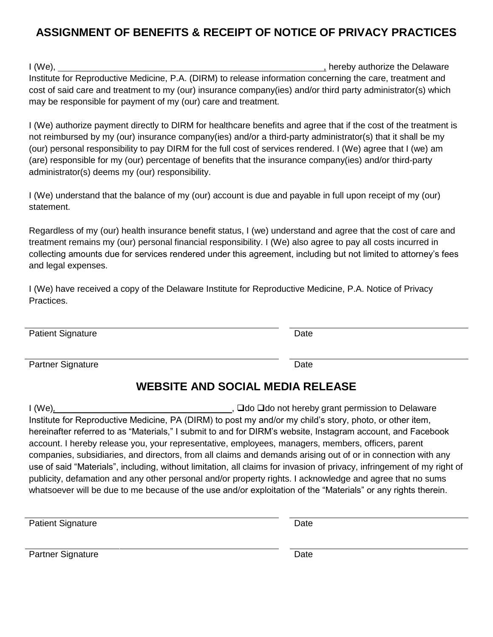# **ASSIGNMENT OF BENEFITS & RECEIPT OF NOTICE OF PRIVACY PRACTICES**

I (We), the I (We), the I are the Delaware the Delaware in the I and I amplitude the Delaware in the I and I amplitude the Delaware in the I amplitude in the I amplitude in the I amplitude in the I amplitude in the I ampli Institute for Reproductive Medicine, P.A. (DIRM) to release information concerning the care, treatment and cost of said care and treatment to my (our) insurance company(ies) and/or third party administrator(s) which may be responsible for payment of my (our) care and treatment.

I (We) authorize payment directly to DIRM for healthcare benefits and agree that if the cost of the treatment is not reimbursed by my (our) insurance company(ies) and/or a third-party administrator(s) that it shall be my (our) personal responsibility to pay DIRM for the full cost of services rendered. I (We) agree that I (we) am (are) responsible for my (our) percentage of benefits that the insurance company(ies) and/or third-party administrator(s) deems my (our) responsibility.

I (We) understand that the balance of my (our) account is due and payable in full upon receipt of my (our) statement.

Regardless of my (our) health insurance benefit status, I (we) understand and agree that the cost of care and treatment remains my (our) personal financial responsibility. I (We) also agree to pay all costs incurred in collecting amounts due for services rendered under this agreement, including but not limited to attorney's fees and legal expenses.

I (We) have received a copy of the Delaware Institute for Reproductive Medicine, P.A. Notice of Privacy Practices.

Patient Signature **Date** Date **Date** Date **Date** 

Partner Signature Date

# **WEBSITE AND SOCIAL MEDIA RELEASE**

I (We), **interest and the above and the U** and O do D do not hereby grant permission to Delaware Institute for Reproductive Medicine, PA (DIRM) to post my and/or my child's story, photo, or other item, hereinafter referred to as "Materials," I submit to and for DIRM's website, Instagram account, and Facebook account. I hereby release you, your representative, employees, managers, members, officers, parent companies, subsidiaries, and directors, from all claims and demands arising out of or in connection with any use of said "Materials", including, without limitation, all claims for invasion of privacy, infringement of my right of publicity, defamation and any other personal and/or property rights. I acknowledge and agree that no sums whatsoever will be due to me because of the use and/or exploitation of the "Materials" or any rights therein.

Patient Signature Date

Partner Signature Date